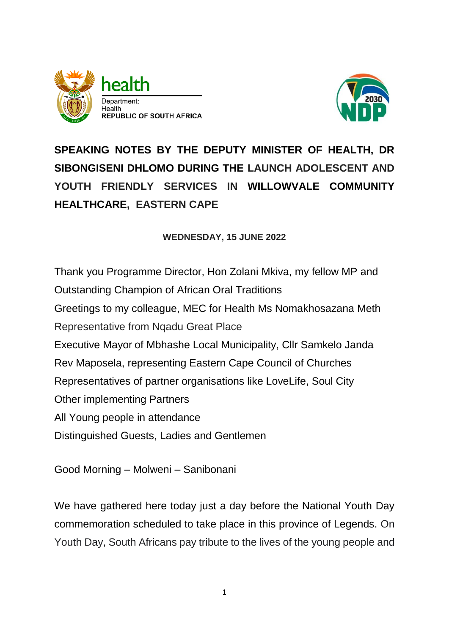



**SPEAKING NOTES BY THE DEPUTY MINISTER OF HEALTH, DR SIBONGISENI DHLOMO DURING THE LAUNCH ADOLESCENT AND YOUTH FRIENDLY SERVICES IN WILLOWVALE COMMUNITY HEALTHCARE, EASTERN CAPE**

## **WEDNESDAY, 15 JUNE 2022**

Thank you Programme Director, Hon Zolani Mkiva, my fellow MP and Outstanding Champion of African Oral Traditions Greetings to my colleague, MEC for Health Ms Nomakhosazana Meth Representative from Nqadu Great Place Executive Mayor of Mbhashe Local Municipality, Cllr Samkelo Janda Rev Maposela, representing Eastern Cape Council of Churches Representatives of partner organisations like LoveLife, Soul City Other implementing Partners All Young people in attendance Distinguished Guests, Ladies and Gentlemen

Good Morning – Molweni – Sanibonani

We have gathered here today just a day before the National Youth Day commemoration scheduled to take place in this province of Legends. On Youth Day, South Africans pay tribute to the lives of the young people and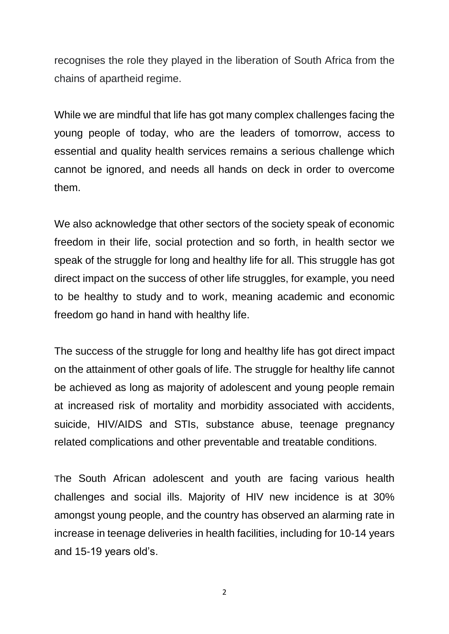recognises the role they played in the liberation of South Africa from the chains of apartheid regime.

While we are mindful that life has got many complex challenges facing the young people of today, who are the leaders of tomorrow, access to essential and quality health services remains a serious challenge which cannot be ignored, and needs all hands on deck in order to overcome them.

We also acknowledge that other sectors of the society speak of economic freedom in their life, social protection and so forth, in health sector we speak of the struggle for long and healthy life for all. This struggle has got direct impact on the success of other life struggles, for example, you need to be healthy to study and to work, meaning academic and economic freedom go hand in hand with healthy life.

The success of the struggle for long and healthy life has got direct impact on the attainment of other goals of life. The struggle for healthy life cannot be achieved as long as majority of adolescent and young people remain at increased risk of mortality and morbidity associated with accidents, suicide, HIV/AIDS and STIs, substance abuse, teenage pregnancy related complications and other preventable and treatable conditions.

The South African adolescent and youth are facing various health challenges and social ills. Majority of HIV new incidence is at 30% amongst young people, and the country has observed an alarming rate in increase in teenage deliveries in health facilities, including for 10-14 years and 15-19 years old's.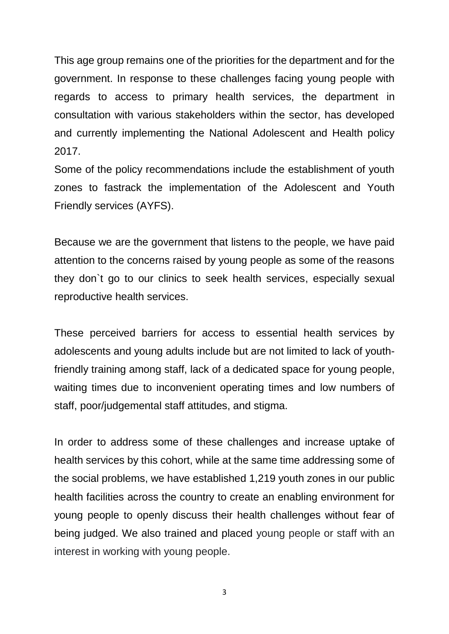This age group remains one of the priorities for the department and for the government. In response to these challenges facing young people with regards to access to primary health services, the department in consultation with various stakeholders within the sector, has developed and currently implementing the National Adolescent and Health policy 2017.

Some of the policy recommendations include the establishment of youth zones to fastrack the implementation of the Adolescent and Youth Friendly services (AYFS).

Because we are the government that listens to the people, we have paid attention to the concerns raised by young people as some of the reasons they don`t go to our clinics to seek health services, especially sexual reproductive health services.

These perceived barriers for access to essential health services by adolescents and young adults include but are not limited to lack of youthfriendly training among staff, lack of a dedicated space for young people, waiting times due to inconvenient operating times and low numbers of staff, poor/judgemental staff attitudes, and stigma.

In order to address some of these challenges and increase uptake of health services by this cohort, while at the same time addressing some of the social problems, we have established 1,219 youth zones in our public health facilities across the country to create an enabling environment for young people to openly discuss their health challenges without fear of being judged. We also trained and placed young people or staff with an interest in working with young people.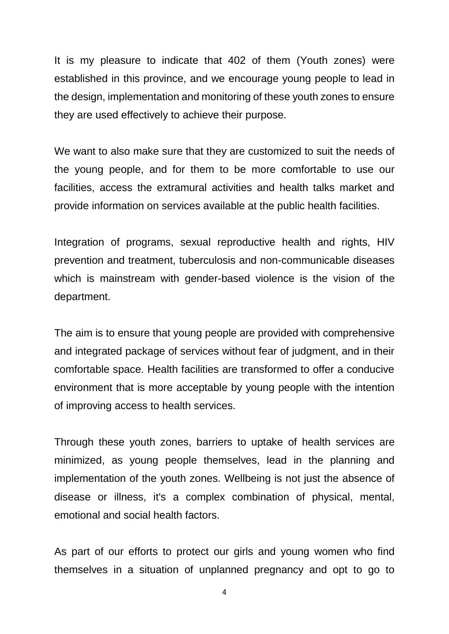It is my pleasure to indicate that 402 of them (Youth zones) were established in this province, and we encourage young people to lead in the design, implementation and monitoring of these youth zones to ensure they are used effectively to achieve their purpose.

We want to also make sure that they are customized to suit the needs of the young people, and for them to be more comfortable to use our facilities, access the extramural activities and health talks market and provide information on services available at the public health facilities.

Integration of programs, sexual reproductive health and rights, HIV prevention and treatment, tuberculosis and non-communicable diseases which is mainstream with gender-based violence is the vision of the department.

The aim is to ensure that young people are provided with comprehensive and integrated package of services without fear of judgment, and in their comfortable space. Health facilities are transformed to offer a conducive environment that is more acceptable by young people with the intention of improving access to health services.

Through these youth zones, barriers to uptake of health services are minimized, as young people themselves, lead in the planning and implementation of the youth zones. Wellbeing is not just the absence of disease or illness, it's a complex combination of physical, mental, emotional and social health factors.

As part of our efforts to protect our girls and young women who find themselves in a situation of unplanned pregnancy and opt to go to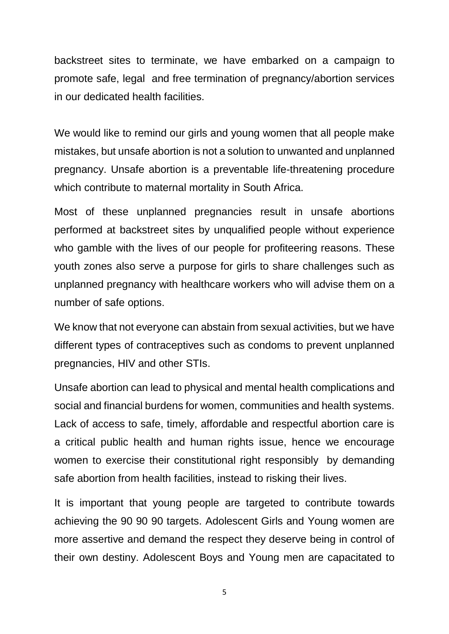backstreet sites to terminate, we have embarked on a campaign to promote safe, legal and free termination of pregnancy/abortion services in our dedicated health facilities.

We would like to remind our girls and young women that all people make mistakes, but unsafe abortion is not a solution to unwanted and unplanned pregnancy. Unsafe abortion is a preventable life-threatening procedure which contribute to maternal mortality in South Africa.

Most of these unplanned pregnancies result in unsafe abortions performed at backstreet sites by unqualified people without experience who gamble with the lives of our people for profiteering reasons. These youth zones also serve a purpose for girls to share challenges such as unplanned pregnancy with healthcare workers who will advise them on a number of safe options.

We know that not everyone can abstain from sexual activities, but we have different types of contraceptives such as condoms to prevent unplanned pregnancies, HIV and other STIs.

Unsafe abortion can lead to physical and mental health complications and social and financial burdens for women, communities and health systems. Lack of access to safe, timely, affordable and respectful abortion care is a critical public health and human rights issue, hence we encourage women to exercise their constitutional right responsibly by demanding safe abortion from health facilities, instead to risking their lives.

It is important that young people are targeted to contribute towards achieving the 90 90 90 targets. Adolescent Girls and Young women are more assertive and demand the respect they deserve being in control of their own destiny. Adolescent Boys and Young men are capacitated to